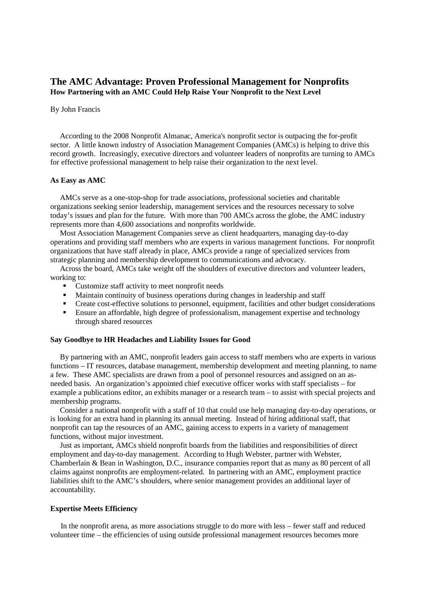## **The AMC Advantage: Proven Professional Management for Nonprofits How Partnering with an AMC Could Help Raise Your Nonprofit to the Next Level**

#### By John Francis

 According to the 2008 Nonprofit Almanac, America's nonprofit sector is outpacing the for-profit sector. A little known industry of Association Management Companies (AMCs) is helping to drive this record growth. Increasingly, executive directors and volunteer leaders of nonprofits are turning to AMCs for effective professional management to help raise their organization to the next level.

## **As Easy as AMC**

 AMCs serve as a one-stop-shop for trade associations, professional societies and charitable organizations seeking senior leadership, management services and the resources necessary to solve today's issues and plan for the future. With more than 700 AMCs across the globe, the AMC industry represents more than 4,600 associations and nonprofits worldwide.

 Most Association Management Companies serve as client headquarters, managing day-to-day operations and providing staff members who are experts in various management functions. For nonprofit organizations that have staff already in place, AMCs provide a range of specialized services from strategic planning and membership development to communications and advocacy.

 Across the board, AMCs take weight off the shoulders of executive directors and volunteer leaders, working to:

- Customize staff activity to meet nonprofit needs
- Maintain continuity of business operations during changes in leadership and staff
- Create cost-effective solutions to personnel, equipment, facilities and other budget considerations
- Ensure an affordable, high degree of professionalism, management expertise and technology through shared resources

#### **Say Goodbye to HR Headaches and Liability Issues for Good**

 By partnering with an AMC, nonprofit leaders gain access to staff members who are experts in various functions – IT resources, database management, membership development and meeting planning, to name a few. These AMC specialists are drawn from a pool of personnel resources and assigned on an asneeded basis. An organization's appointed chief executive officer works with staff specialists – for example a publications editor, an exhibits manager or a research team – to assist with special projects and membership programs.

 Consider a national nonprofit with a staff of 10 that could use help managing day-to-day operations, or is looking for an extra hand in planning its annual meeting. Instead of hiring additional staff, that nonprofit can tap the resources of an AMC, gaining access to experts in a variety of management functions, without major investment.

 Just as important, AMCs shield nonprofit boards from the liabilities and responsibilities of direct employment and day-to-day management. According to Hugh Webster, partner with Webster, Chamberlain & Bean in Washington, D.C., insurance companies report that as many as 80 percent of all claims against nonprofits are employment-related. In partnering with an AMC, employment practice liabilities shift to the AMC's shoulders, where senior management provides an additional layer of accountability.

#### **Expertise Meets Efficiency**

 In the nonprofit arena, as more associations struggle to do more with less – fewer staff and reduced volunteer time – the efficiencies of using outside professional management resources becomes more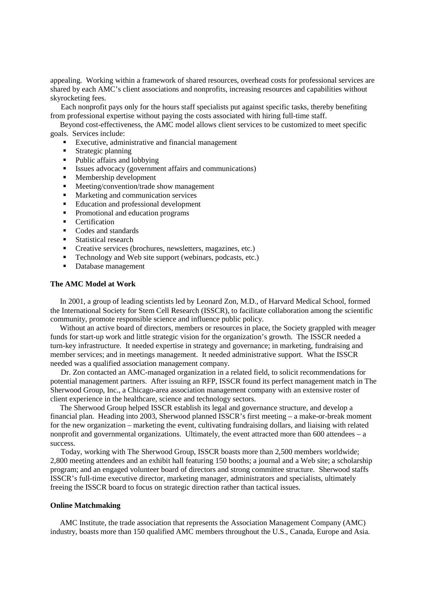appealing. Working within a framework of shared resources, overhead costs for professional services are shared by each AMC's client associations and nonprofits, increasing resources and capabilities without skyrocketing fees.

 Each nonprofit pays only for the hours staff specialists put against specific tasks, thereby benefiting from professional expertise without paying the costs associated with hiring full-time staff.

Beyond cost-effectiveness, the AMC model allows client services to be customized to meet specific goals. Services include:

- Executive, administrative and financial management
- **Strategic planning**
- Public affairs and lobbying
- Issues advocacy (government affairs and communications)<br>■ Membership development
- Membership development
- Meeting/convention/trade show management<br>Marketing and communication services
- Marketing and communication services
- Education and professional development
- Promotional and education programs
- Certification
- Codes and standards
- Statistical research
- Creative services (brochures, newsletters, magazines, etc.)<br>■ Technology and Web site support (webinars, podcasts, etc.)
- Technology and Web site support (webinars, podcasts, etc.)
- Database management

## **The AMC Model at Work**

 In 2001, a group of leading scientists led by Leonard Zon, M.D., of Harvard Medical School, formed the International Society for Stem Cell Research (ISSCR), to facilitate collaboration among the scientific community, promote responsible science and influence public policy.

 Without an active board of directors, members or resources in place, the Society grappled with meager funds for start-up work and little strategic vision for the organization's growth. The ISSCR needed a turn-key infrastructure. It needed expertise in strategy and governance; in marketing, fundraising and member services; and in meetings management. It needed administrative support. What the ISSCR needed was a qualified association management company.

 Dr. Zon contacted an AMC-managed organization in a related field, to solicit recommendations for potential management partners. After issuing an RFP, ISSCR found its perfect management match in The Sherwood Group, Inc., a Chicago-area association management company with an extensive roster of client experience in the healthcare, science and technology sectors.

 The Sherwood Group helped ISSCR establish its legal and governance structure, and develop a financial plan. Heading into 2003, Sherwood planned ISSCR's first meeting – a make-or-break moment for the new organization – marketing the event, cultivating fundraising dollars, and liaising with related nonprofit and governmental organizations. Ultimately, the event attracted more than 600 attendees – a success.

 Today, working with The Sherwood Group, ISSCR boasts more than 2,500 members worldwide; 2,800 meeting attendees and an exhibit hall featuring 150 booths; a journal and a Web site; a scholarship program; and an engaged volunteer board of directors and strong committee structure. Sherwood staffs ISSCR's full-time executive director, marketing manager, administrators and specialists, ultimately freeing the ISSCR board to focus on strategic direction rather than tactical issues.

## **Online Matchmaking**

AMC Institute, the trade association that represents the Association Management Company (AMC) industry, boasts more than 150 qualified AMC members throughout the U.S., Canada, Europe and Asia.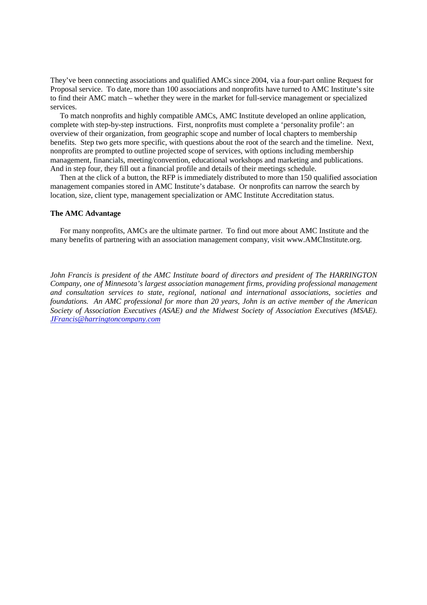They've been connecting associations and qualified AMCs since 2004, via a four-part online Request for Proposal service. To date, more than 100 associations and nonprofits have turned to AMC Institute's site to find their AMC match – whether they were in the market for full-service management or specialized services.

To match nonprofits and highly compatible AMCs, AMC Institute developed an online application, complete with step-by-step instructions. First, nonprofits must complete a 'personality profile': an overview of their organization, from geographic scope and number of local chapters to membership benefits. Step two gets more specific, with questions about the root of the search and the timeline. Next, nonprofits are prompted to outline projected scope of services, with options including membership management, financials, meeting/convention, educational workshops and marketing and publications. And in step four, they fill out a financial profile and details of their meetings schedule.

Then at the click of a button, the RFP is immediately distributed to more than 150 qualified association management companies stored in AMC Institute's database. Or nonprofits can narrow the search by location, size, client type, management specialization or AMC Institute Accreditation status.

#### **The AMC Advantage**

 For many nonprofits, AMCs are the ultimate partner. To find out more about AMC Institute and the many benefits of partnering with an association management company, visit www.AMCInstitute.org.

*John Francis is president of the AMC Institute board of directors and president of The HARRINGTON Company, one of Minnesota's largest association management firms, providing professional management and consultation services to state, regional, national and international associations, societies and foundations. An AMC professional for more than 20 years, John is an active member of the American Society of Association Executives (ASAE) and the Midwest Society of Association Executives (MSAE). JFrancis@harringtoncompany.com*